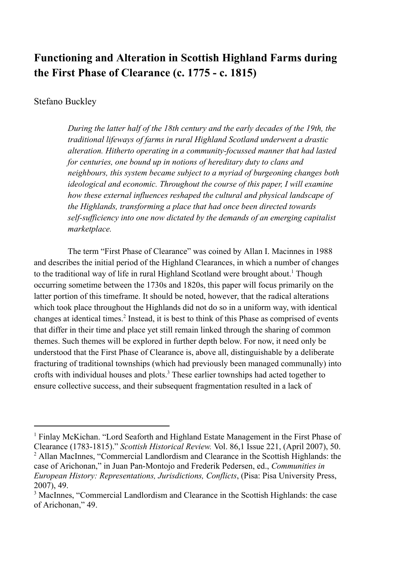# **Functioning and Alteration in Scottish Highland Farms during the First Phase of Clearance (c. 1775 - c. 1815)**

## Stefano Buckley

*During the latter half of the 18th century and the early decades of the 19th, the traditional lifeways of farms in rural Highland Scotland underwent a drastic alteration. Hitherto operating in a community-focussed manner that had lasted for centuries, one bound up in notions of hereditary duty to clans and neighbours, this system became subject to a myriad of burgeoning changes both ideological and economic. Throughout the course of this paper, I will examine how these external influences reshaped the cultural and physical landscape of the Highlands, transforming a place that had once been directed towards self-sufficiency into one now dictated by the demands of an emerging capitalist marketplace.*

The term "First Phase of Clearance" was coined by Allan I. Macinnes in 1988 and describes the initial period of the Highland Clearances, in which a number of changes to the traditional way of life in rural Highland Scotland were brought about.<sup>1</sup> Though occurring sometime between the 1730s and 1820s, this paper will focus primarily on the latter portion of this timeframe. It should be noted, however, that the radical alterations which took place throughout the Highlands did not do so in a uniform way, with identical changes at identical times.<sup>2</sup> Instead, it is best to think of this Phase as comprised of events that differ in their time and place yet still remain linked through the sharing of common themes. Such themes will be explored in further depth below. For now, it need only be understood that the First Phase of Clearance is, above all, distinguishable by a deliberate fracturing of traditional townships (which had previously been managed communally) into crofts with individual houses and plots.<sup>3</sup> These earlier townships had acted together to ensure collective success, and their subsequent fragmentation resulted in a lack of

<sup>2</sup> Allan MacInnes, "Commercial Landlordism and Clearance in the Scottish Highlands: the case of Arichonan," in Juan Pan-Montojo and Frederik Pedersen, ed., *Communities in European History: Representations, Jurisdictions, Conflicts*, (Pisa: Pisa University Press, 2007), 49. <sup>1</sup> Finlay McKichan. "Lord Seaforth and Highland Estate Management in the First Phase of Clearance (1783-1815)." *Scottish Historical Review.* Vol. 86,1 Issue 221, (April 2007), 50.

<sup>3</sup> MacInnes, "Commercial Landlordism and Clearance in the Scottish Highlands: the case of Arichonan," 49.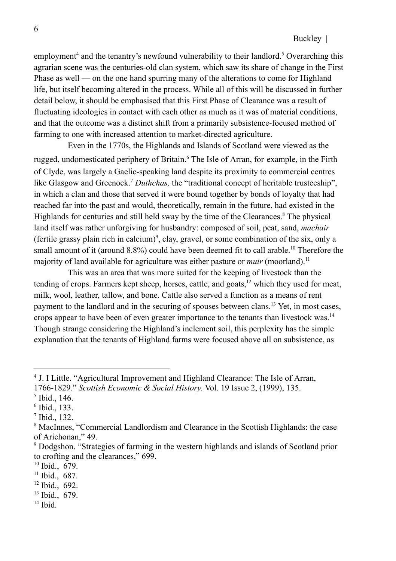employment<sup>4</sup> and the tenantry's newfound vulnerability to their landlord.<sup>5</sup> Overarching this agrarian scene was the centuries-old clan system, which saw its share of change in the First Phase as well — on the one hand spurring many of the alterations to come for Highland life, but itself becoming altered in the process. While all of this will be discussed in further detail below, it should be emphasised that this First Phase of Clearance was a result of fluctuating ideologies in contact with each other as much as it was of material conditions, and that the outcome was a distinct shift from a primarily subsistence-focused method of farming to one with increased attention to market-directed agriculture.

Even in the 1770s, the Highlands and Islands of Scotland were viewed as the rugged, undomesticated periphery of Britain.<sup>6</sup> The Isle of Arran, for example, in the Firth of Clyde, was largely a Gaelic-speaking land despite its proximity to commercial centres like Glasgow and Greenock.<sup>7</sup> Duthchas, the "traditional concept of heritable trusteeship", in which a clan and those that served it were bound together by bonds of loyalty that had reached far into the past and would, theoretically, remain in the future, had existed in the Highlands for centuries and still held sway by the time of the Clearances.<sup>8</sup> The physical land itself was rather unforgiving for husbandry: composed of soil, peat, sand, *machair* (fertile grassy plain rich in calcium)<sup>9</sup>, clay, gravel, or some combination of the six, only a small amount of it (around  $8.8\%$ ) could have been deemed fit to call arable.<sup>10</sup> Therefore the majority of land available for agriculture was either pasture or *muir* (moorland).<sup>11</sup>

This was an area that was more suited for the keeping of livestock than the tending of crops. Farmers kept sheep, horses, cattle, and goats, $12$  which they used for meat, milk, wool, leather, tallow, and bone. Cattle also served a function as a means of rent payment to the landlord and in the securing of spouses between clans.<sup>13</sup> Yet, in most cases, crops appear to have been of even greater importance to the tenants than livestock was.<sup>14</sup> Though strange considering the Highland's inclement soil, this perplexity has the simple explanation that the tenants of Highland farms were focused above all on subsistence, as

- 12 Ibid., 692.
- 13 Ibid., 679.
- 14 Ibid.

<sup>4</sup> J. I Little. "Agricultural Improvement and Highland Clearance: The Isle of Arran,

<sup>1766-1829.&</sup>quot; *Scottish Economic & Social History.* Vol. 19 Issue 2, (1999), 135.

<sup>5</sup> Ibid., 146.

<sup>6</sup> Ibid., 133.

<sup>7</sup> Ibid., 132.

<sup>8</sup> MacInnes, "Commercial Landlordism and Clearance in the Scottish Highlands: the case of Arichonan," 49.

<sup>9</sup> Dodgshon. "Strategies of farming in the western highlands and islands of Scotland prior to crofting and the clearances," 699.

<sup>10</sup> Ibid., 679.

<sup>&</sup>lt;sup>11</sup> Ibid., 687.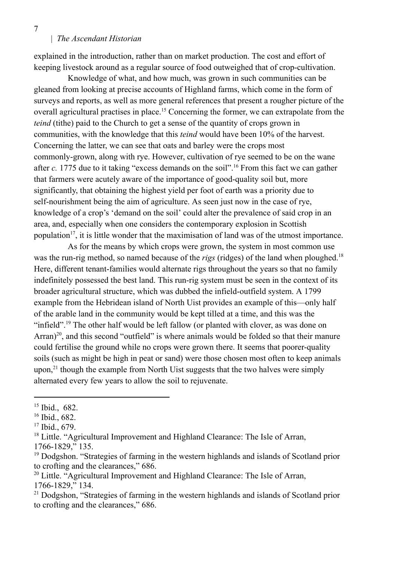## | *The Ascendant Historian*

explained in the introduction, rather than on market production. The cost and effort of keeping livestock around as a regular source of food outweighed that of crop-cultivation.

Knowledge of what, and how much, was grown in such communities can be gleaned from looking at precise accounts of Highland farms, which come in the form of surveys and reports, as well as more general references that present a rougher picture of the overall agricultural practises in place.<sup>15</sup> Concerning the former, we can extrapolate from the *teind* (tithe) paid to the Church to get a sense of the quantity of crops grown in communities, with the knowledge that this *teind* would have been 10% of the harvest. Concerning the latter, we can see that oats and barley were the crops most commonly-grown, along with rye. However, cultivation of rye seemed to be on the wane after *c.* 1775 due to it taking "excess demands on the soil".<sup>16</sup> From this fact we can gather that farmers were acutely aware of the importance of good-quality soil but, more significantly, that obtaining the highest yield per foot of earth was a priority due to self-nourishment being the aim of agriculture. As seen just now in the case of rye, knowledge of a crop's 'demand on the soil' could alter the prevalence of said crop in an area, and, especially when one considers the contemporary explosion in Scottish population<sup>17</sup>, it is little wonder that the maximisation of land was of the utmost importance.

As for the means by which crops were grown, the system in most common use was the run-rig method, so named because of the *rigs* (ridges) of the land when ploughed.<sup>18</sup> Here, different tenant-families would alternate rigs throughout the years so that no family indefinitely possessed the best land. This run-rig system must be seen in the context of its broader agricultural structure, which was dubbed the infield-outfield system. A 1799 example from the Hebridean island of North Uist provides an example of this—only half of the arable land in the community would be kept tilled at a time, and this was the "infield".<sup>19</sup> The other half would be left fallow (or planted with clover, as was done on Arran) $20$ , and this second "outfield" is where animals would be folded so that their manure could fertilise the ground while no crops were grown there. It seems that poorer-quality soils (such as might be high in peat or sand) were those chosen most often to keep animals upon,<sup>21</sup> though the example from North Uist suggests that the two halves were simply alternated every few years to allow the soil to rejuvenate.

<sup>15</sup> Ibid., 682.

<sup>16</sup> Ibid., 682.

<sup>17</sup> Ibid., 679.

<sup>&</sup>lt;sup>18</sup> Little. "Agricultural Improvement and Highland Clearance: The Isle of Arran, 1766-1829," 135.

<sup>&</sup>lt;sup>19</sup> Dodgshon. "Strategies of farming in the western highlands and islands of Scotland prior to crofting and the clearances," 686.

 $20$  Little. "Agricultural Improvement and Highland Clearance: The Isle of Arran, 1766-1829," 134.

<sup>&</sup>lt;sup>21</sup> Dodgshon, "Strategies of farming in the western highlands and islands of Scotland prior to crofting and the clearances," 686.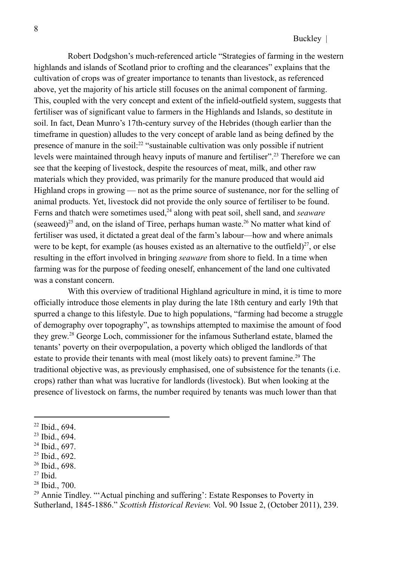Robert Dodgshon's much-referenced article "Strategies of farming in the western highlands and islands of Scotland prior to crofting and the clearances" explains that the cultivation of crops was of greater importance to tenants than livestock, as referenced above, yet the majority of his article still focuses on the animal component of farming. This, coupled with the very concept and extent of the infield-outfield system, suggests that fertiliser was of significant value to farmers in the Highlands and Islands, so destitute in soil. In fact, Dean Munro's 17th-century survey of the Hebrides (though earlier than the timeframe in question) alludes to the very concept of arable land as being defined by the presence of manure in the soil: $^{22}$  "sustainable cultivation was only possible if nutrient levels were maintained through heavy inputs of manure and fertiliser".<sup>23</sup> Therefore we can see that the keeping of livestock, despite the resources of meat, milk, and other raw materials which they provided, was primarily for the manure produced that would aid Highland crops in growing — not as the prime source of sustenance, nor for the selling of animal products. Yet, livestock did not provide the only source of fertiliser to be found. Ferns and thatch were sometimes used,<sup>24</sup> along with peat soil, shell sand, and *seaware* (seaweed)<sup>25</sup> and, on the island of Tiree, perhaps human waste.<sup>26</sup> No matter what kind of fertiliser was used, it dictated a great deal of the farm's labour—how and where animals were to be kept, for example (as houses existed as an alternative to the outfield) $27$ , or else resulting in the effort involved in bringing *seaware* from shore to field. In a time when farming was for the purpose of feeding oneself, enhancement of the land one cultivated was a constant concern.

With this overview of traditional Highland agriculture in mind, it is time to more officially introduce those elements in play during the late 18th century and early 19th that spurred a change to this lifestyle. Due to high populations, "farming had become a struggle of demography over topography", as townships attempted to maximise the amount of food they grew. <sup>28</sup> George Loch, commissioner for the infamous Sutherland estate, blamed the tenants' poverty on their overpopulation, a poverty which obliged the landlords of that estate to provide their tenants with meal (most likely oats) to prevent famine.<sup>29</sup> The traditional objective was, as previously emphasised, one of subsistence for the tenants (i.e. crops) rather than what was lucrative for landlords (livestock). But when looking at the presence of livestock on farms, the number required by tenants was much lower than that

26 Ibid., 698.

<sup>22</sup> Ibid., 694.

<sup>23</sup> Ibid., 694.

<sup>24</sup> Ibid., 697.

 $25$  Ibid., 692.

<sup>27</sup> Ibid.

<sup>28</sup> Ibid., 700.

<sup>29</sup> Annie Tindley. "'Actual pinching and suffering': Estate Responses to Poverty in Sutherland, 1845-1886." *Scottish Historical Review.* Vol. 90 Issue 2, (October 2011), 239.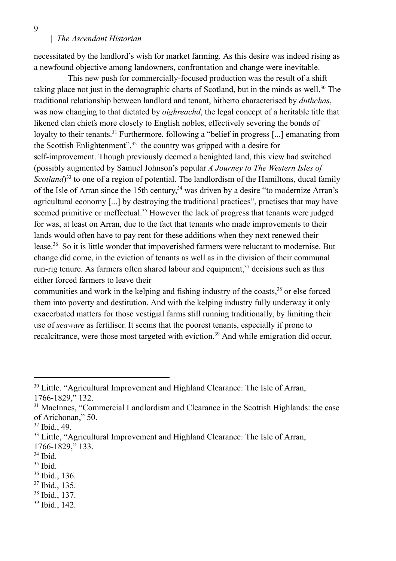9

#### | *The Ascendant Historian*

necessitated by the landlord's wish for market farming. As this desire was indeed rising as a newfound objective among landowners, confrontation and change were inevitable.

This new push for commercially-focused production was the result of a shift taking place not just in the demographic charts of Scotland, but in the minds as well.<sup>30</sup> The traditional relationship between landlord and tenant, hitherto characterised by *duthchas*, was now changing to that dictated by *oighreachd*, the legal concept of a heritable title that likened clan chiefs more closely to English nobles, effectively severing the bonds of loyalty to their tenants.<sup>31</sup> Furthermore, following a "belief in progress [...] emanating from the Scottish Enlightenment", $32$  the country was gripped with a desire for self-improvement. Though previously deemed a benighted land, this view had switched (possibly augmented by Samuel Johnson's popular *A Journey to The Western Isles of* Scotland<sup>33</sup> to one of a region of potential. The landlordism of the Hamiltons, ducal family of the Isle of Arran since the 15th century,<sup>34</sup> was driven by a desire "to modernize Arran's agricultural economy [...] by destroying the traditional practices", practises that may have seemed primitive or ineffectual.<sup>35</sup> However the lack of progress that tenants were judged for was, at least on Arran, due to the fact that tenants who made improvements to their lands would often have to pay rent for these additions when they next renewed their lease.<sup>36</sup> So it is little wonder that impoverished farmers were reluctant to modernise. But change did come, in the eviction of tenants as well as in the division of their communal run-rig tenure. As farmers often shared labour and equipment, $37$  decisions such as this either forced farmers to leave their

communities and work in the kelping and fishing industry of the coasts,<sup>38</sup> or else forced them into poverty and destitution. And with the kelping industry fully underway it only exacerbated matters for those vestigial farms still running traditionally, by limiting their use of *seaware* as fertiliser. It seems that the poorest tenants, especially if prone to recalcitrance, were those most targeted with eviction.<sup>39</sup> And while emigration did occur,

- 38 Ibid., 137.
- 39 Ibid., 142.

<sup>&</sup>lt;sup>30</sup> Little. "Agricultural Improvement and Highland Clearance: The Isle of Arran, 1766-1829," 132.

<sup>&</sup>lt;sup>31</sup> MacInnes, "Commercial Landlordism and Clearance in the Scottish Highlands: the case of Arichonan," 50.

<sup>32</sup> Ibid., 49.

<sup>&</sup>lt;sup>33</sup> Little, "Agricultural Improvement and Highland Clearance: The Isle of Arran, 1766-1829," 133.

<sup>34</sup> Ibid.

<sup>35</sup> Ibid.

<sup>36</sup> Ibid., 136.

<sup>37</sup> Ibid., 135.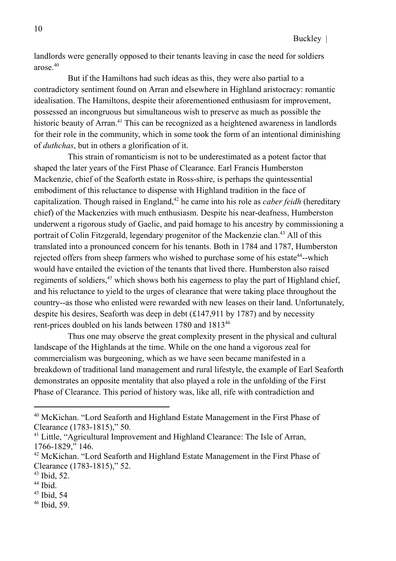landlords were generally opposed to their tenants leaving in case the need for soldiers arose.<sup>40</sup>

But if the Hamiltons had such ideas as this, they were also partial to a contradictory sentiment found on Arran and elsewhere in Highland aristocracy: romantic idealisation. The Hamiltons, despite their aforementioned enthusiasm for improvement, possessed an incongruous but simultaneous wish to preserve as much as possible the historic beauty of Arran.<sup>41</sup> This can be recognized as a heightened awareness in landlords for their role in the community, which in some took the form of an intentional diminishing of *duthchas*, but in others a glorification of it.

This strain of romanticism is not to be underestimated as a potent factor that shaped the later years of the First Phase of Clearance. Earl Francis Humberston Mackenzie, chief of the Seaforth estate in Ross-shire, is perhaps the quintessential embodiment of this reluctance to dispense with Highland tradition in the face of capitalization. Though raised in England,<sup>42</sup> he came into his role as *caber feidh* (hereditary chief) of the Mackenzies with much enthusiasm. Despite his near-deafness, Humberston underwent a rigorous study of Gaelic, and paid homage to his ancestry by commissioning a portrait of Colin Fitzgerald, legendary progenitor of the Mackenzie clan.<sup>43</sup> All of this translated into a pronounced concern for his tenants. Both in 1784 and 1787, Humberston rejected offers from sheep farmers who wished to purchase some of his estate<sup>44</sup>--which would have entailed the eviction of the tenants that lived there. Humberston also raised regiments of soldiers,<sup>45</sup> which shows both his eagerness to play the part of Highland chief, and his reluctance to yield to the urges of clearance that were taking place throughout the country--as those who enlisted were rewarded with new leases on their land. Unfortunately, despite his desires, Seaforth was deep in debt (£147,911 by 1787) and by necessity rent-prices doubled on his lands between 1780 and 1813<sup>46</sup>

Thus one may observe the great complexity present in the physical and cultural landscape of the Highlands at the time. While on the one hand a vigorous zeal for commercialism was burgeoning, which as we have seen became manifested in a breakdown of traditional land management and rural lifestyle, the example of Earl Seaforth demonstrates an opposite mentality that also played a role in the unfolding of the First Phase of Clearance. This period of history was, like all, rife with contradiction and

45 Ibid, 54

<sup>40</sup> McKichan. "Lord Seaforth and Highland Estate Management in the First Phase of Clearance (1783-1815)," 50.

<sup>&</sup>lt;sup>41</sup> Little, "Agricultural Improvement and Highland Clearance: The Isle of Arran, 1766-1829," 146.

 $42$  McKichan. "Lord Seaforth and Highland Estate Management in the First Phase of Clearance (1783-1815)," 52.

<sup>43</sup> Ibid, 52.

<sup>44</sup> Ibid.

<sup>46</sup> Ibid, 59.